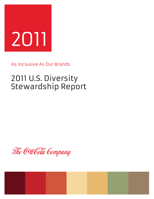

As Inclusive As Our Brands

# 2011 U.S. Diversity Stewardship Report

The Coca Cola Company

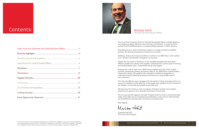The Coca-Cola Company's third U.S. Diversity Stewardship Report includes details on encouraging progress, effective action and clear commitments. It is also the first to include Coca-Cola Refreshments, our largest bottling operation in North America.

Everything we do in terms of diversity is based on a simple, powerful and global premise: Our diversity should be as inclusive as our brands.

Building a diverse and inclusive workforce is central to our 2020 Vision, which calls for us to "achieve true diversity" throughout our business.

Indeed, the real power of diversity is in the incredible synergies that result when different people and cultures come together united behind a common goal of winning and creating shared value. Extraordinary things truly happen.

Diversity has a role in each of our 2020 Vision's strategic priorities: Profit, people, portfolio, productivity, partners and planet. After all, our 2020 Vision crosses borders, oceans and cultures. Our people must understand, embrace and operate in a multicultural world marked by growing economies and a rising middle class of new consumers.

The only truly effective way to engage with that world of change and opportunity is to ensure our workforce is fully reflective of the people who represent the rich diversity of the markets, communities and people we proudly serve.

We also know this remains a work in progress. And there must be more progress ahead if we're going to move diversity to the heart of Coca-Cola.

It's not a journey that happens overnight. Progress tends to come in incremental steps. Today, those steps are accumulating and accelerating, as we move to make diversity not something our business does, but how our business works.

Best regards,

Multer Heat

Chairman and CEO The Coca-Cola Company

## Muhtar Kent



| Letter from Our Chairman and Chief Executive Officer  3 |  |
|---------------------------------------------------------|--|
|                                                         |  |
|                                                         |  |
|                                                         |  |
|                                                         |  |
|                                                         |  |
|                                                         |  |
|                                                         |  |
|                                                         |  |
|                                                         |  |
|                                                         |  |



## Contents: